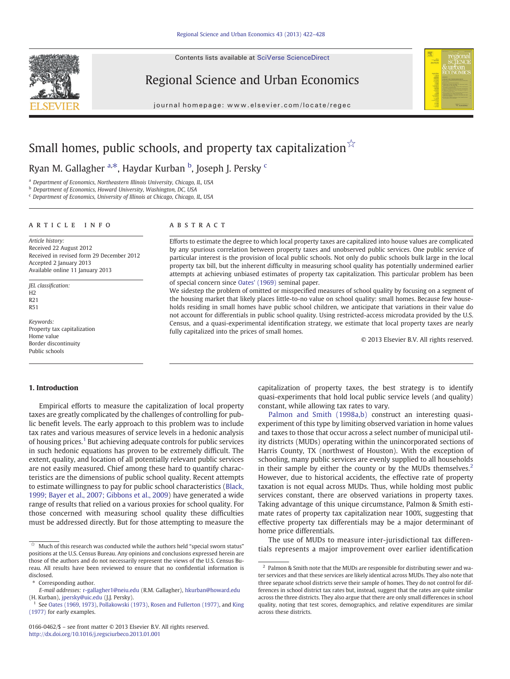Contents lists available at SciVerse ScienceDirect



Regional Science and Urban Economics



journal homepage: www.elsevier.com/locate/regec

# Small homes, public schools, and property tax capitalization $\sqrt{x}$

Ryan M. Gallagher <sup>a,\*</sup>, Haydar Kurban <sup>b</sup>, Joseph J. Persky <sup>c</sup>

<sup>a</sup> Department of Economics, Northeastern Illinois University, Chicago, IL, USA

b Department of Economics, Howard University, Washington, DC, USA

<sup>c</sup> Department of Economics, University of Illinois at Chicago, Chicago, IL, USA

## article info abstract

Article history: Received 22 August 2012 Received in revised form 29 December 2012 Accepted 2 January 2013 Available online 11 January 2013

JEL classification:  $H<sub>2</sub>$ R21 R51

Keywords: Property tax capitalization Home value Border discontinuity Public schools

Efforts to estimate the degree to which local property taxes are capitalized into house values are complicated by any spurious correlation between property taxes and unobserved public services. One public service of particular interest is the provision of local public schools. Not only do public schools bulk large in the local property tax bill, but the inherent difficulty in measuring school quality has potentially undermined earlier attempts at achieving unbiased estimates of property tax capitalization. This particular problem has been of special concern since [Oates' \(1969\)](#page--1-0) seminal paper.

We sidestep the problem of omitted or misspecified measures of school quality by focusing on a segment of the housing market that likely places little-to-no value on school quality: small homes. Because few households residing in small homes have public school children, we anticipate that variations in their value do not account for differentials in public school quality. Using restricted-access microdata provided by the U.S. Census, and a quasi-experimental identification strategy, we estimate that local property taxes are nearly fully capitalized into the prices of small homes.

© 2013 Elsevier B.V. All rights reserved.

#### 1. Introduction

Empirical efforts to measure the capitalization of local property taxes are greatly complicated by the challenges of controlling for public benefit levels. The early approach to this problem was to include tax rates and various measures of service levels in a hedonic analysis of housing prices. $1$  But achieving adequate controls for public services in such hedonic equations has proven to be extremely difficult. The extent, quality, and location of all potentially relevant public services are not easily measured. Chief among these hard to quantify characteristics are the dimensions of public school quality. Recent attempts to estimate willingness to pay for public school characteristics ([Black,](#page--1-0) [1999; Bayer et al., 2007; Gibbons et al., 2009](#page--1-0)) have generated a wide range of results that relied on a various proxies for school quality. For those concerned with measuring school quality these difficulties must be addressed directly. But for those attempting to measure the

Corresponding author.

0166-0462/\$ – see front matter © 2013 Elsevier B.V. All rights reserved. <http://dx.doi.org/10.1016/j.regsciurbeco.2013.01.001>

capitalization of property taxes, the best strategy is to identify quasi-experiments that hold local public service levels (and quality) constant, while allowing tax rates to vary.

[Palmon and Smith \(1998a,b\)](#page--1-0) construct an interesting quasiexperiment of this type by limiting observed variation in home values and taxes to those that occur across a select number of municipal utility districts (MUDs) operating within the unincorporated sections of Harris County, TX (northwest of Houston). With the exception of schooling, many public services are evenly supplied to all households in their sample by either the county or by the MUDs themselves. $2$ However, due to historical accidents, the effective rate of property taxation is not equal across MUDs. Thus, while holding most public services constant, there are observed variations in property taxes. Taking advantage of this unique circumstance, Palmon & Smith estimate rates of property tax capitalization near 100%, suggesting that effective property tax differentials may be a major determinant of home price differentials.

The use of MUDs to measure inter-jurisdictional tax differentials represents a major improvement over earlier identification

 $\overrightarrow{a}$  Much of this research was conducted while the authors held "special sworn status" positions at the U.S. Census Bureau. Any opinions and conclusions expressed herein are those of the authors and do not necessarily represent the views of the U.S. Census Bureau. All results have been reviewed to ensure that no confidential information is disclosed.

E-mail addresses: [r-gallagher1@neiu.edu](mailto:r-gallagher1@neiu.edu) (R.M. Gallagher), [hkurban@howard.edu](mailto:hkurban@howard.edu) (H. Kurban), [jpersky@uic.edu](mailto:jpersky@uic.edu) (J.J. Persky).

<sup>&</sup>lt;sup>1</sup> See [Oates \(1969, 1973\),](#page--1-0) [Pollakowski \(1973\),](#page--1-0) [Rosen and Fullerton \(1977\)](#page--1-0), and [King](#page--1-0) [\(1977\)](#page--1-0) for early examples.

<sup>&</sup>lt;sup>2</sup> Palmon & Smith note that the MUDs are responsible for distributing sewer and water services and that these services are likely identical across MUDs. They also note that three separate school districts serve their sample of homes. They do not control for differences in school district tax rates but, instead, suggest that the rates are quite similar across the three districts. They also argue that there are only small differences in school quality, noting that test scores, demographics, and relative expenditures are similar across these districts.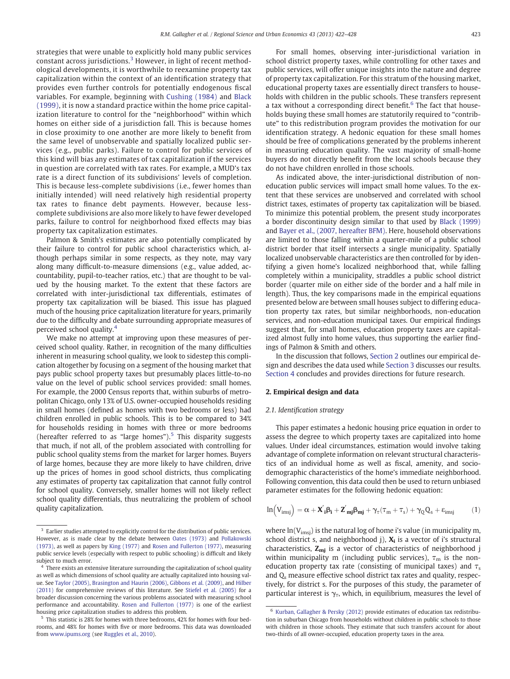strategies that were unable to explicitly hold many public services constant across jurisdictions. $3$  However, in light of recent methodological developments, it is worthwhile to reexamine property tax capitalization within the context of an identification strategy that provides even further controls for potentially endogenous fiscal variables. For example, beginning with [Cushing \(1984\)](#page--1-0) and [Black](#page--1-0) [\(1999\),](#page--1-0) it is now a standard practice within the home price capitalization literature to control for the "neighborhood" within which homes on either side of a jurisdiction fall. This is because homes in close proximity to one another are more likely to benefit from the same level of unobservable and spatially localized public services (e.g., public parks). Failure to control for public services of this kind will bias any estimates of tax capitalization if the services in question are correlated with tax rates. For example, a MUD's tax rate is a direct function of its subdivisions' levels of completion. This is because less-complete subdivisions (i.e., fewer homes than initially intended) will need relatively high residential property tax rates to finance debt payments. However, because lesscomplete subdivisions are also more likely to have fewer developed parks, failure to control for neighborhood fixed effects may bias property tax capitalization estimates.

Palmon & Smith's estimates are also potentially complicated by their failure to control for public school characteristics which, although perhaps similar in some respects, as they note, may vary along many difficult-to-measure dimensions (e.g., value added, accountability, pupil-to-teacher ratios, etc.) that are thought to be valued by the housing market. To the extent that these factors are correlated with inter-jurisdictional tax differentials, estimates of property tax capitalization will be biased. This issue has plagued much of the housing price capitalization literature for years, primarily due to the difficulty and debate surrounding appropriate measures of perceived school quality.<sup>4</sup>

We make no attempt at improving upon these measures of perceived school quality. Rather, in recognition of the many difficulties inherent in measuring school quality, we look to sidestep this complication altogether by focusing on a segment of the housing market that pays public school property taxes but presumably places little-to-no value on the level of public school services provided: small homes. For example, the 2000 Census reports that, within suburbs of metropolitan Chicago, only 13% of U.S. owner-occupied households residing in small homes (defined as homes with two bedrooms or less) had children enrolled in public schools. This is to be compared to 34% for households residing in homes with three or more bedrooms (hereafter referred to as "large homes").<sup>5</sup> This disparity suggests that much, if not all, of the problem associated with controlling for public school quality stems from the market for larger homes. Buyers of large homes, because they are more likely to have children, drive up the prices of homes in good school districts, thus complicating any estimates of property tax capitalization that cannot fully control for school quality. Conversely, smaller homes will not likely reflect school quality differentials, thus neutralizing the problem of school quality capitalization.

For small homes, observing inter-jurisdictional variation in school district property taxes, while controlling for other taxes and public services, will offer unique insights into the nature and degree of property tax capitalization. For this stratum of the housing market, educational property taxes are essentially direct transfers to households with children in the public schools. These transfers represent a tax without a corresponding direct benefit.<sup>6</sup> The fact that households buying these small homes are statutorily required to "contribute" to this redistribution program provides the motivation for our identification strategy. A hedonic equation for these small homes should be free of complications generated by the problems inherent in measuring education quality. The vast majority of small-home buyers do not directly benefit from the local schools because they do not have children enrolled in those schools.

As indicated above, the inter-jurisdictional distribution of noneducation public services will impact small home values. To the extent that these services are unobserved and correlated with school district taxes, estimates of property tax capitalization will be biased. To minimize this potential problem, the present study incorporates a border discontinuity design similar to that used by [Black \(1999\)](#page--1-0) and [Bayer et al., \(2007, hereafter BFM\)](#page--1-0). Here, household observations are limited to those falling within a quarter-mile of a public school district border that itself intersects a single municipality. Spatially localized unobservable characteristics are then controlled for by identifying a given home's localized neighborhood that, while falling completely within a municipality, straddles a public school district border (quarter mile on either side of the border and a half mile in length). Thus, the key comparisons made in the empirical equations presented below are between small houses subject to differing education property tax rates, but similar neighborhoods, non-education services, and non-education municipal taxes. Our empirical findings suggest that, for small homes, education property taxes are capitalized almost fully into home values, thus supporting the earlier findings of Palmon & Smith and others.

In the discussion that follows, Section 2 outlines our empirical design and describes the data used while [Section 3](#page--1-0) discusses our results. [Section 4](#page--1-0) concludes and provides directions for future research.

### 2. Empirical design and data

### 2.1. Identification strategy

This paper estimates a hedonic housing price equation in order to assess the degree to which property taxes are capitalized into home values. Under ideal circumstances, estimation would involve taking advantage of complete information on relevant structural characteristics of an individual home as well as fiscal, amenity, and sociodemographic characteristics of the home's immediate neighborhood. Following convention, this data could then be used to return unbiased parameter estimates for the following hedonic equation:

$$
ln\Big(V_{imsj}\Big) = \alpha + \boldsymbol{X^{'}_i}\boldsymbol{\beta_i} + \boldsymbol{Z^{'}}_{mj}\boldsymbol{\beta_{mj}} + \gamma_{\tau}(\tau_m + \tau_s) + \gamma_Q Q_s + \epsilon_{imsj} \hspace{2cm} (1)
$$

where  $ln(V_{\text{imsi}})$  is the natural log of home i's value (in municipality m, school district s, and neighborhood j),  $X_i$  is a vector of i's structural characteristics,  $Z_{mi}$  is a vector of characteristics of neighborhood j within municipality m (including public services),  $\tau_m$  is the noneducation property tax rate (consisting of municipal taxes) and  $\tau_s$ and Q<sub>s</sub> measure effective school district tax rates and quality, respectively, for district s. For the purposes of this study, the parameter of particular interest is  $\gamma_{\tau}$ , which, in equilibrium, measures the level of

<sup>&</sup>lt;sup>3</sup> Earlier studies attempted to explicitly control for the distribution of public services. However, as is made clear by the debate between [Oates \(1973\)](#page--1-0) and [Pollakowski](#page--1-0) [\(1973\),](#page--1-0) as well as papers by [King \(1977\)](#page--1-0) and [Rosen and Fullerton \(1977\)](#page--1-0), measuring public service levels (especially with respect to public schooling) is difficult and likely subject to much error.

<sup>&</sup>lt;sup>4</sup> There exists an extensive literature surrounding the capitalization of school quality as well as which dimensions of school quality are actually capitalized into housing value. See [Taylor \(2005\),](#page--1-0) [Brasington and Haurin \(2006\)](#page--1-0), [Gibbons et al. \(2009\),](#page--1-0) and [Hilber](#page--1-0) [\(2011\)](#page--1-0) for comprehensive reviews of this literature. See [Stiefel et al. \(2005\)](#page--1-0) for a broader discussion concerning the various problems associated with measuring school performance and accountability. [Rosen and Fullerton \(1977\)](#page--1-0) is one of the earliest housing price capitalization studies to address this problem.

This statistic is 28% for homes with three bedrooms, 42% for homes with four bedrooms, and 48% for homes with five or more bedrooms. This data was downloaded from [www.ipums.org](http://www.ipums.org) (see [Ruggles et al., 2010](#page--1-0)).

<sup>6</sup> [Kurban, Gallagher & Persky \(2012\)](#page--1-0) provide estimates of education tax redistribution in suburban Chicago from households without children in public schools to those with children in those schools. They estimate that such transfers account for about two-thirds of all owner-occupied, education property taxes in the area.